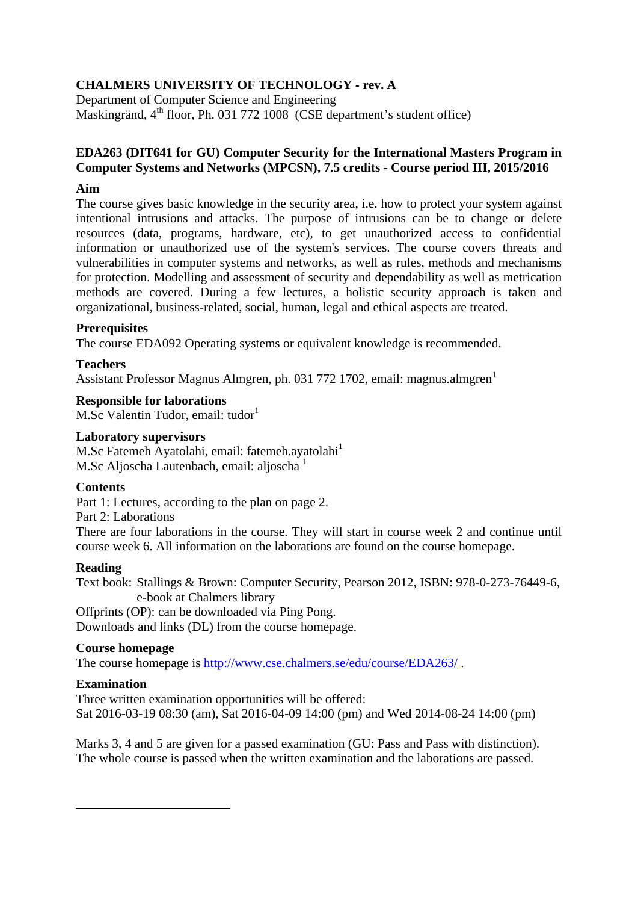# **CHALMERS UNIVERSITY OF TECHNOLOGY - rev. A**

Department of Computer Science and Engineering Maskingränd, 4<sup>th</sup> floor, Ph. 031 772 1008 (CSE department's student office)

### **EDA263 (DIT641 for GU) Computer Security for the International Masters Program in Computer Systems and Networks (MPCSN), 7.5 credits - Course period III, 2015/2016**

### **Aim**

The course gives basic knowledge in the security area, i.e. how to protect your system against intentional intrusions and attacks. The purpose of intrusions can be to change or delete resources (data, programs, hardware, etc), to get unauthorized access to confidential information or unauthorized use of the system's services. The course covers threats and vulnerabilities in computer systems and networks, as well as rules, methods and mechanisms for protection. Modelling and assessment of security and dependability as well as metrication methods are covered. During a few lectures, a holistic security approach is taken and organizational, business-related, social, human, legal and ethical aspects are treated.

#### **Prerequisites**

The course EDA092 Operating systems or equivalent knowledge is recommended.

## **Teachers**

Assistant Professor Magnus Almgren, ph. 03[1](#page-0-0) 772 1702, email: magnus.almgren<sup>1</sup>

#### **Responsible for laborations**

M.Sc Valentin Tudor, email: tudor<sup>1</sup>

#### **Laboratory supervisors**

M.Sc Fatemeh Ayatolahi, email: fatemeh.ayatolahi<sup>1</sup> M.Sc Aljoscha Lautenbach, email: aljoscha $<sup>1</sup>$ </sup>

#### **Contents**

Part 1: Lectures, according to the plan on page 2.

Part 2: Laborations

There are four laborations in the course. They will start in course week 2 and continue until course week 6. All information on the laborations are found on the course homepage.

#### **Reading**

Text book: Stallings & Brown: Computer Security, Pearson 2012, ISBN: 978-0-273-76449-6, e-book at Chalmers library

Offprints (OP): can be downloaded via Ping Pong. Downloads and links (DL) from the course homepage.

#### **Course homepage**

The course homepage is<http://www.cse.chalmers.se/edu/course/EDA263/> .

#### **Examination**

<span id="page-0-0"></span>-

Three written examination opportunities will be offered: Sat 2016-03-19 08:30 (am), Sat 2016-04-09 14:00 (pm) and Wed 2014-08-24 14:00 (pm)

Marks 3, 4 and 5 are given for a passed examination (GU: Pass and Pass with distinction). The whole course is passed when the written examination and the laborations are passed.